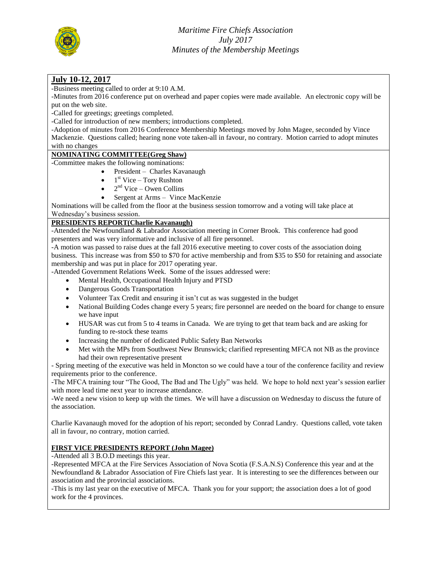

## **July 10-12, 2017**

-Business meeting called to order at 9:10 A.M.

-Minutes from 2016 conference put on overhead and paper copies were made available. An electronic copy will be put on the web site.

-Called for greetings; greetings completed.

-Called for introduction of new members; introductions completed.

-Adoption of minutes from 2016 Conference Membership Meetings moved by John Magee, seconded by Vince Mackenzie. Questions called; hearing none vote taken-all in favour, no contrary. Motion carried to adopt minutes with no changes

# **NOMINATING COMMITTEE(Greg Shaw)**

-Committee makes the following nominations:

- President Charles Kavanaugh
- $\bullet$  1<sup>st</sup> Vice Tory Rushton
- $\bullet$  2<sup>nd</sup> Vice Owen Collins
- Sergent at Arms Vince MacKenzie

Nominations will be called from the floor at the business session tomorrow and a voting will take place at Wednesday's business session.

## **PRESIDENTS REPORT(Charlie Kavanaugh)**

-Attended the Newfoundland & Labrador Association meeting in Corner Brook. This conference had good presenters and was very informative and inclusive of all fire personnel.

-A motion was passed to raise dues at the fall 2016 executive meeting to cover costs of the association doing business. This increase was from \$50 to \$70 for active membership and from \$35 to \$50 for retaining and associate membership and was put in place for 2017 operating year.

-Attended Government Relations Week. Some of the issues addressed were:

- Mental Health, Occupational Health Injury and PTSD
- Dangerous Goods Transportation
- Volunteer Tax Credit and ensuring it isn't cut as was suggested in the budget
- National Building Codes change every 5 years; fire personnel are needed on the board for change to ensure we have input
- HUSAR was cut from 5 to 4 teams in Canada. We are trying to get that team back and are asking for funding to re-stock these teams
- Increasing the number of dedicated Public Safety Ban Networks
- Met with the MPs from Southwest New Brunswick; clarified representing MFCA not NB as the province had their own representative present

- Spring meeting of the executive was held in Moncton so we could have a tour of the conference facility and review requirements prior to the conference.

-The MFCA training tour "The Good, The Bad and The Ugly" was held. We hope to hold next year's session earlier with more lead time next year to increase attendance.

-We need a new vision to keep up with the times. We will have a discussion on Wednesday to discuss the future of the association.

Charlie Kavanaugh moved for the adoption of his report; seconded by Conrad Landry. Questions called, vote taken all in favour, no contrary, motion carried.

#### **FIRST VICE PRESIDENTS REPORT (John Magee)**

-Attended all 3 B.O.D meetings this year.

-Represented MFCA at the Fire Services Association of Nova Scotia (F.S.A.N.S) Conference this year and at the Newfoundland & Labrador Association of Fire Chiefs last year. It is interesting to see the differences between our association and the provincial associations.

-This is my last year on the executive of MFCA. Thank you for your support; the association does a lot of good work for the 4 provinces.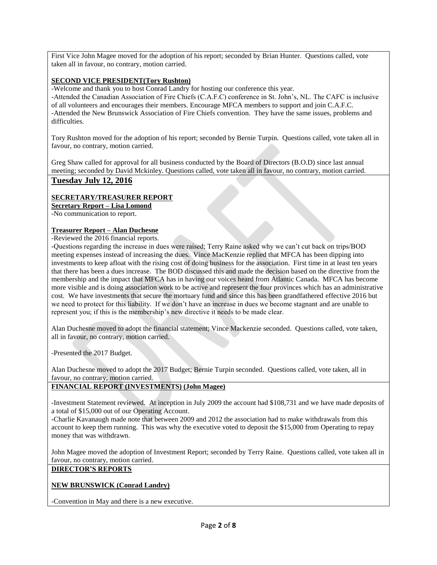First Vice John Magee moved for the adoption of his report; seconded by Brian Hunter. Questions called, vote taken all in favour, no contrary, motion carried.

#### **SECOND VICE PRESIDENT(Tory Rushton)**

-Welcome and thank you to host Conrad Landry for hosting our conference this year.

-Attended the Canadian Association of Fire Chiefs (C.A.F.C) conference in St. John's, NL. The CAFC is inclusive of all volunteers and encourages their members. Encourage MFCA members to support and join C.A.F.C. -Attended the New Brunswick Association of Fire Chiefs convention. They have the same issues, problems and difficulties.

Tory Rushton moved for the adoption of his report; seconded by Bernie Turpin. Questions called, vote taken all in favour, no contrary, motion carried.

Greg Shaw called for approval for all business conducted by the Board of Directors (B.O.D) since last annual meeting; seconded by David Mckinley. Questions called, vote taken all in favour, no contrary, motion carried.

#### **Tuesday July 12, 2016**

## **SECRETARY/TREASURER REPORT**

**Secretary Report – Lisa Lomond**

-No communication to report.

#### **Treasurer Report – Alan Duchesne**

-Reviewed the 2016 financial reports.

-Questions regarding the increase in dues were raised; Terry Raine asked why we can't cut back on trips/BOD meeting expenses instead of increasing the dues. Vince MacKenzie replied that MFCA has been dipping into investments to keep afloat with the rising cost of doing business for the association. First time in at least ten years that there has been a dues increase. The BOD discussed this and made the decision based on the directive from the membership and the impact that MFCA has in having our voices heard from Atlantic Canada. MFCA has become more visible and is doing association work to be active and represent the four provinces which has an administrative cost. We have investments that secure the mortuary fund and since this has been grandfathered effective 2016 but we need to protect for this liability. If we don't have an increase in dues we become stagnant and are unable to represent you; if this is the membership's new directive it needs to be made clear.

Alan Duchesne moved to adopt the financial statement; Vince Mackenzie seconded. Questions called, vote taken, all in favour, no contrary, motion carried.

-Presented the 2017 Budget.

Alan Duchesne moved to adopt the 2017 Budget; Bernie Turpin seconded. Questions called, vote taken, all in favour, no contrary, motion carried.

#### **FINANCIAL REPORT (INVESTMENTS) (John Magee)**

-Investment Statement reviewed. At inception in July 2009 the account had \$108,731 and we have made deposits of a total of \$15,000 out of our Operating Account.

-Charlie Kavanaugh made note that between 2009 and 2012 the association had to make withdrawals from this account to keep them running. This was why the executive voted to deposit the \$15,000 from Operating to repay money that was withdrawn.

John Magee moved the adoption of Investment Report; seconded by Terry Raine. Questions called, vote taken all in favour, no contrary, motion carried.

#### **DIRECTOR'S REPORTS**

#### **NEW BRUNSWICK (Conrad Landry)**

-Convention in May and there is a new executive.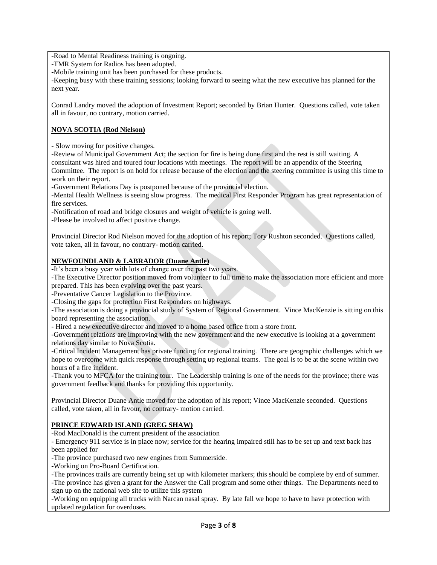-Road to Mental Readiness training is ongoing.

-TMR System for Radios has been adopted.

-Mobile training unit has been purchased for these products.

-Keeping busy with these training sessions; looking forward to seeing what the new executive has planned for the next year.

Conrad Landry moved the adoption of Investment Report; seconded by Brian Hunter. Questions called, vote taken all in favour, no contrary, motion carried.

#### **NOVA SCOTIA (Rod Nielson)**

- Slow moving for positive changes.

-Review of Municipal Government Act; the section for fire is being done first and the rest is still waiting. A consultant was hired and toured four locations with meetings. The report will be an appendix of the Steering Committee. The report is on hold for release because of the election and the steering committee is using this time to work on their report.

-Government Relations Day is postponed because of the provincial election.

-Mental Health Wellness is seeing slow progress. The medical First Responder Program has great representation of fire services.

-Notification of road and bridge closures and weight of vehicle is going well.

-Please be involved to affect positive change.

Provincial Director Rod Nielson moved for the adoption of his report; Tory Rushton seconded. Questions called, vote taken, all in favour, no contrary- motion carried.

#### **NEWFOUNDLAND & LABRADOR (Duane Antle)**

-It's been a busy year with lots of change over the past two years.

-The Executive Director position moved from volunteer to full time to make the association more efficient and more prepared. This has been evolving over the past years.

-Preventative Cancer Legislation to the Province.

-Closing the gaps for protection First Responders on highways.

-The association is doing a provincial study of System of Regional Government. Vince MacKenzie is sitting on this board representing the association.

- Hired a new executive director and moved to a home based office from a store front.

-Government relations are improving with the new government and the new executive is looking at a government relations day similar to Nova Scotia.

-Critical Incident Management has private funding for regional training. There are geographic challenges which we hope to overcome with quick response through setting up regional teams. The goal is to be at the scene within two hours of a fire incident.

-Thank you to MFCA for the training tour. The Leadership training is one of the needs for the province; there was government feedback and thanks for providing this opportunity.

Provincial Director Duane Antle moved for the adoption of his report; Vince MacKenzie seconded. Questions called, vote taken, all in favour, no contrary- motion carried.

#### **PRINCE EDWARD ISLAND (GREG SHAW)**

-Rod MacDonald is the current president of the association

- Emergency 911 service is in place now; service for the hearing impaired still has to be set up and text back has been applied for

-The province purchased two new engines from Summerside.

-Working on Pro-Board Certification.

-The provinces trails are currently being set up with kilometer markers; this should be complete by end of summer. -The province has given a grant for the Answer the Call program and some other things. The Departments need to sign up on the national web site to utilize this system

-Working on equipping all trucks with Narcan nasal spray. By late fall we hope to have to have protection with updated regulation for overdoses.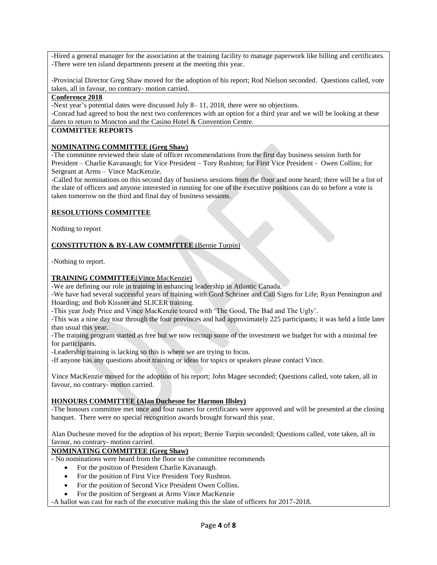-Hired a general manager for the association at the training facility to manage paperwork like billing and certificates. -There were ten island departments present at the meeting this year.

-Provincial Director Greg Shaw moved for the adoption of his report; Rod Nielson seconded. Questions called, vote taken, all in favour, no contrary- motion carried.

#### **Conference 2018**

-Next year's potential dates were discussed July 8– 11, 2018, there were no objections.

-Conrad had agreed to host the next two conferences with an option for a third year and we will be looking at these dates to return to Moncton and the Casino Hotel & Convention Centre.

## **COMMITTEE REPORTS**

#### **NOMINATING COMMITTEE (Greg Shaw)**

-The committee reviewed their slate of officer recommendations from the first day business session forth for President – Charlie Kavanaugh; for Vice President – Tory Rushton; for First Vice President - Owen Collins; for Sergeant at Arms – Vince MacKenzie.

-Called for nominations on this second day of business sessions from the floor and none heard; there will be a list of the slate of officers and anyone interested in running for one of the executive positions can do so before a vote is taken tomorrow on the third and final day of business sessions.

#### **RESOLUTIONS COMMITTEE**

Nothing to report

## **CONSTITUTION & BY-LAW COMMITTEE** (Bernie Turpin)

-Nothing to report.

#### **TRAINING COMMITTEE**(Vince MacKenzie)

-We are defining our role in training in enhancing leadership in Atlantic Canada.

-We have had several successful years of training with Gord Schriner and Call Signs for Life; Ryan Pennington and Hoarding; and Bob Kissner and SLICER training.

-This year Jody Price and Vince MacKenzie toured with 'The Good, The Bad and The Ugly'.

-This was a nine day tour through the four provinces and had approximately 225 participants; it was held a little later than usual this year.

-The training program started as free but we now recoup some of the investment we budget for with a minimal fee for participants.

-Leadership training is lacking so this is where we are trying to focus.

-If anyone has any questions about training or ideas for topics or speakers please contact Vince.

Vince MacKenzie moved for the adoption of his report; John Magee seconded; Questions called, vote taken, all in favour, no contrary- motion carried.

#### **HONOURS COMMITTEE (Alan Duchesne for Harmon Illsley)**

-The honours committee met once and four names for certificates were approved and will be presented at the closing banquet. There were no special recognition awards brought forward this year.

Alan Duchesne moved for the adoption of his report; Bernie Turpin seconded; Questions called, vote taken, all in favour, no contrary- motion carried.

#### **NOMINATING COMMITTEE (Greg Shaw)**

- No nominations were heard from the floor so the committee recommends

- For the position of President Charlie Kavanaugh.
- For the position of First Vice President Tory Rushton.
- For the position of Second Vice President Owen Collins.
- For the position of Sergeant at Arms Vince MacKenzie

-A ballot was cast for each of the executive making this the slate of officers for 2017-2018.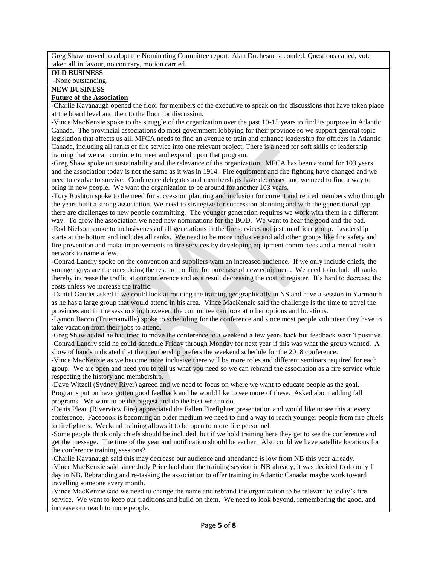Greg Shaw moved to adopt the Nominating Committee report; Alan Duchesne seconded. Questions called, vote taken all in favour, no contrary, motion carried.

## **OLD BUSINESS**

#### -None outstanding.

## **NEW BUSINESS**

### **Future of the Association**

-Charlie Kavanaugh opened the floor for members of the executive to speak on the discussions that have taken place at the board level and then to the floor for discussion.

-Vince MacKenzie spoke to the struggle of the organization over the past 10-15 years to find its purpose in Atlantic Canada. The provincial associations do most government lobbying for their province so we support general topic legislation that affects us all. MFCA needs to find an avenue to train and enhance leadership for officers in Atlantic Canada, including all ranks of fire service into one relevant project. There is a need for soft skills of leadership training that we can continue to meet and expand upon that program.

-Greg Shaw spoke on sustainability and the relevance of the organization. MFCA has been around for 103 years and the association today is not the same as it was in 1914. Fire equipment and fire fighting have changed and we need to evolve to survive. Conference delegates and memberships have decreased and we need to find a way to bring in new people. We want the organization to be around for another 103 years.

-Tory Rushton spoke to the need for succession planning and inclusion for current and retired members who through the years built a strong association. We need to strategize for succession planning and with the generational gap there are challenges to new people committing. The younger generation requires we work with them in a different way. To grow the association we need new nominations for the BOD. We want to hear the good and the bad. -Rod Nielson spoke to inclusiveness of all generations in the fire services not just an officer group. Leadership starts at the bottom and includes all ranks. We need to be more inclusive and add other groups like fire safety and fire prevention and make improvements to fire services by developing equipment committees and a mental health network to name a few.

-Conrad Landry spoke on the convention and suppliers want an increased audience. If we only include chiefs, the younger guys are the ones doing the research online for purchase of new equipment. We need to include all ranks thereby increase the traffic at our conference and as a result decreasing the cost to register. It's hard to decrease the costs unless we increase the traffic.

-Daniel Gaudet asked if we could look at rotating the training geographically in NS and have a session in Yarmouth as he has a large group that would attend in his area. Vince MacKenzie said the challenge is the time to travel the provinces and fit the sessions in, however, the committee can look at other options and locations.

-Lymon Bacon (Truemanville) spoke to scheduling for the conference and since most people volunteer they have to take vacation from their jobs to attend.

-Greg Shaw added he had tried to move the conference to a weekend a few years back but feedback wasn't positive. -Conrad Landry said he could schedule Friday through Monday for next year if this was what the group wanted. A show of hands indicated that the membership prefers the weekend schedule for the 2018 conference.

-Vince MacKenzie as we become more inclusive there will be more roles and different seminars required for each group. We are open and need you to tell us what you need so we can rebrand the association as a fire service while respecting the history and membership.

-Dave Witzell (Sydney River) agreed and we need to focus on where we want to educate people as the goal. Programs put on have gotten good feedback and he would like to see more of these. Asked about adding fall programs. We want to be the biggest and do the best we can do.

-Denis Pleau (Riverview Fire) appreciated the Fallen Firefighter presentation and would like to see this at every conference. Facebook is becoming an older medium we need to find a way to reach younger people from fire chiefs to firefighters. Weekend training allows it to be open to more fire personnel.

-Some people think only chiefs should be included, but if we hold training here they get to see the conference and get the message. The time of the year and notification should be earlier. Also could we have satellite locations for the conference training sessions?

-Charlie Kavanaugh said this may decrease our audience and attendance is low from NB this year already. -Vince MacKenzie said since Jody Price had done the training session in NB already, it was decided to do only 1 day in NB. Rebranding and re-tasking the association to offer training in Atlantic Canada; maybe work toward travelling someone every month.

-Vince MacKenzie said we need to change the name and rebrand the organization to be relevant to today's fire service. We want to keep our traditions and build on them. We need to look beyond, remembering the good, and increase our reach to more people.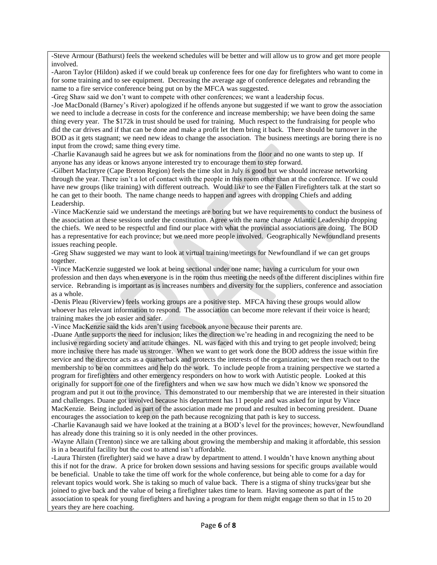-Steve Armour (Bathurst) feels the weekend schedules will be better and will allow us to grow and get more people involved.

-Aaron Taylor (Hildon) asked if we could break up conference fees for one day for firefighters who want to come in for some training and to see equipment. Decreasing the average age of conference delegates and rebranding the name to a fire service conference being put on by the MFCA was suggested.

-Greg Shaw said we don't want to compete with other conferences; we want a leadership focus.

-Joe MacDonald (Barney's River) apologized if he offends anyone but suggested if we want to grow the association we need to include a decrease in costs for the conference and increase membership; we have been doing the same thing every year. The \$172k in trust should be used for training. Much respect to the fundraising for people who did the car drives and if that can be done and make a profit let them bring it back. There should be turnover in the BOD as it gets stagnant; we need new ideas to change the association. The business meetings are boring there is no input from the crowd; same thing every time.

-Charlie Kavanaugh said he agrees but we ask for nominations from the floor and no one wants to step up. If anyone has any ideas or knows anyone interested try to encourage them to step forward.

-Gilbert MacIntyre (Cape Breton Region) feels the time slot in July is good but we should increase networking through the year. There isn't a lot of contact with the people in this room other than at the conference. If we could have new groups (like training) with different outreach. Would like to see the Fallen Firefighters talk at the start so he can get to their booth. The name change needs to happen and agrees with dropping Chiefs and adding Leadership.

-Vince MacKenzie said we understand the meetings are boring but we have requirements to conduct the business of the association at these sessions under the constitution. Agree with the name change Atlantic Leadership dropping the chiefs. We need to be respectful and find our place with what the provincial associations are doing. The BOD has a representative for each province; but we need more people involved. Geographically Newfoundland presents issues reaching people.

-Greg Shaw suggested we may want to look at virtual training/meetings for Newfoundland if we can get groups together.

-Vince MacKenzie suggested we look at being sectional under one name; having a curriculum for your own profession and then days when everyone is in the room thus meeting the needs of the different disciplines within fire service. Rebranding is important as is increases numbers and diversity for the suppliers, conference and association as a whole.

-Denis Pleau (Riverview) feels working groups are a positive step. MFCA having these groups would allow whoever has relevant information to respond. The association can become more relevant if their voice is heard; training makes the job easier and safer.

-Vince MacKenzie said the kids aren't using facebook anyone because their parents are.

-Duane Antle supports the need for inclusion; likes the direction we're heading in and recognizing the need to be inclusive regarding society and attitude changes. NL was faced with this and trying to get people involved; being more inclusive there has made us stronger. When we want to get work done the BOD address the issue within fire service and the director acts as a quarterback and protects the interests of the organization; we then reach out to the membership to be on committees and help do the work. To include people from a training perspective we started a program for firefighters and other emergency responders on how to work with Autistic people. Looked at this originally for support for one of the firefighters and when we saw how much we didn't know we sponsored the program and put it out to the province. This demonstrated to our membership that we are interested in their situation and challenges. Duane got involved because his department has 11 people and was asked for input by Vince MacKenzie. Being included as part of the association made me proud and resulted in becoming president. Duane encourages the association to keep on the path because recognizing that path is key to success.

-Charlie Kavanaugh said we have looked at the training at a BOD's level for the provinces; however, Newfoundland has already done this training so it is only needed in the other provinces.

-Wayne Allain (Trenton) since we are talking about growing the membership and making it affordable, this session is in a beautiful facility but the cost to attend isn't affordable.

-Laura Thirsten (firefighter) said we have a draw by department to attend. I wouldn't have known anything about this if not for the draw. A price for broken down sessions and having sessions for specific groups available would be beneficial. Unable to take the time off work for the whole conference, but being able to come for a day for relevant topics would work. She is taking so much of value back. There is a stigma of shiny trucks/gear but she joined to give back and the value of being a firefighter takes time to learn. Having someone as part of the association to speak for young firefighters and having a program for them might engage them so that in 15 to 20 years they are here coaching.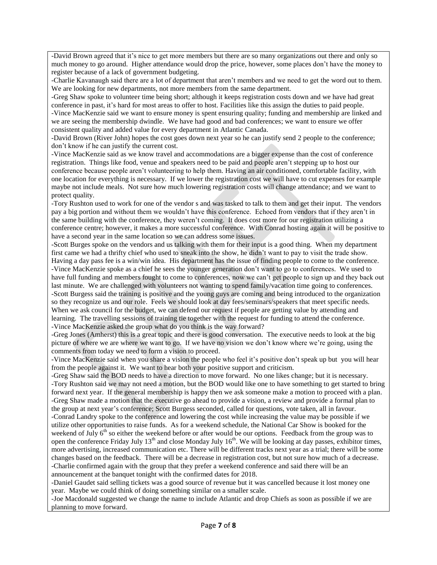-David Brown agreed that it's nice to get more members but there are so many organizations out there and only so much money to go around. Higher attendance would drop the price, however, some places don't have the money to register because of a lack of government budgeting.

-Charlie Kavanaugh said there are a lot of department that aren't members and we need to get the word out to them. We are looking for new departments, not more members from the same department.

-Greg Shaw spoke to volunteer time being short; although it keeps registration costs down and we have had great conference in past, it's hard for most areas to offer to host. Facilities like this assign the duties to paid people. -Vince MacKenzie said we want to ensure money is spent ensuring quality; funding and membership are linked and we are seeing the membership dwindle. We have had good and bad conferences; we want to ensure we offer consistent quality and added value for every department in Atlantic Canada.

-David Brown (River John) hopes the cost goes down next year so he can justify send 2 people to the conference; don't know if he can justify the current cost.

-Vince MacKenzie said as we know travel and accommodations are a bigger expense than the cost of conference registration. Things like food, venue and speakers need to be paid and people aren't stepping up to host our conference because people aren't volunteering to help them. Having an air conditioned, comfortable facility, with one location for everything is necessary. If we lower the registration cost we will have to cut expenses for example maybe not include meals. Not sure how much lowering registration costs will change attendance; and we want to protect quality.

-Tory Rushton used to work for one of the vendor s and was tasked to talk to them and get their input. The vendors pay a big portion and without them we wouldn't have this conference. Echoed from vendors that if they aren't in the same building with the conference, they weren't coming. It does cost more for our registration utilizing a conference centre; however, it makes a more successful conference. With Conrad hosting again it will be positive to have a second year in the same location so we can address some issues.

-Scott Burges spoke on the vendors and us talking with them for their input is a good thing. When my department first came we had a thrifty chief who used to sneak into the show, he didn't want to pay to visit the trade show. Having a day pass fee is a win/win idea. His department has the issue of finding people to come to the conference. -Vince MacKenzie spoke as a chief he sees the younger generation don't want to go to conferences. We used to have full funding and members fought to come to conferences, now we can't get people to sign up and they back out last minute. We are challenged with volunteers not wanting to spend family/vacation time going to conferences. -Scott Burgess said the training is positive and the young guys are coming and being introduced to the organization so they recognize us and our role. Feels we should look at day fees/seminars/speakers that meet specific needs. When we ask council for the budget, we can defend our request if people are getting value by attending and learning. The travelling sessions of training tie together with the request for funding to attend the conference. -Vince MacKenzie asked the group what do you think is the way forward?

-Greg Jones (Amherst) this is a great topic and there is good conversation. The executive needs to look at the big picture of where we are where we want to go. If we have no vision we don't know where we're going, using the comments from today we need to form a vision to proceed.

-Vince MacKenzie said when you share a vision the people who feel it's positive don't speak up but you will hear from the people against it. We want to hear both your positive support and criticism.

-Greg Shaw said the BOD needs to have a direction to move forward. No one likes change; but it is necessary. -Tory Rushton said we may not need a motion, but the BOD would like one to have something to get started to bring forward next year. If the general membership is happy then we ask someone make a motion to proceed with a plan. -Greg Shaw made a motion that the executive go ahead to provide a vision, a review and provide a formal plan to the group at next year's conference; Scott Burgess seconded, called for questions, vote taken, all in favour.

-Conrad Landry spoke to the conference and lowering the cost while increasing the value may be possible if we utilize other opportunities to raise funds. As for a weekend schedule, the National Car Show is booked for the weekend of July 6<sup>th</sup> so either the weekend before or after would be our options. Feedback from the group was to open the conference Friday July  $13<sup>th</sup>$  and close Monday July  $16<sup>th</sup>$ . We will be looking at day passes, exhibitor times, more advertising, increased communication etc. There will be different tracks next year as a trial; there will be some changes based on the feedback. There will be a decrease in registration cost, but not sure how much of a decrease. -Charlie confirmed again with the group that they prefer a weekend conference and said there will be an announcement at the banquet tonight with the confirmed dates for 2018.

-Daniel Gaudet said selling tickets was a good source of revenue but it was cancelled because it lost money one year. Maybe we could think of doing something similar on a smaller scale.

-Joe Macdonald suggested we change the name to include Atlantic and drop Chiefs as soon as possible if we are planning to move forward.